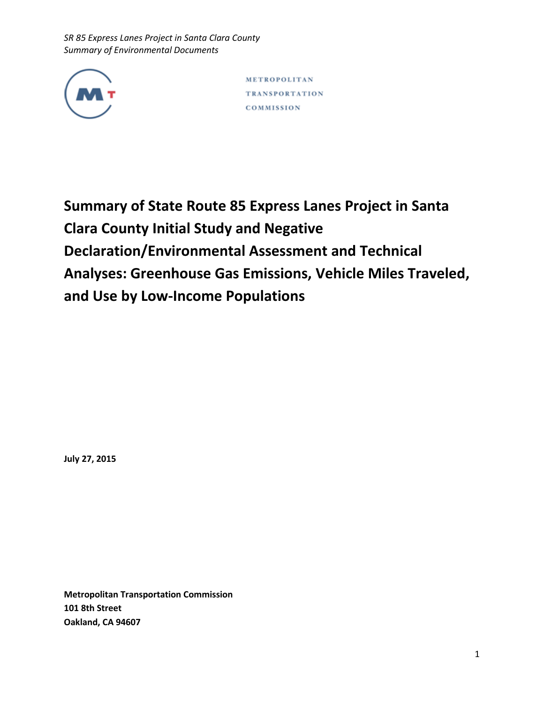

METROPOLITAN **TRANSPORTATION** COMMISSION

**Summary of State Route 85 Express Lanes Project in Santa Clara County Initial Study and Negative Declaration/Environmental Assessment and Technical Analyses: Greenhouse Gas Emissions, Vehicle Miles Traveled, and Use by Low-Income Populations**

**July 27, 2015**

**Metropolitan Transportation Commission 101 8th Street Oakland, CA 94607**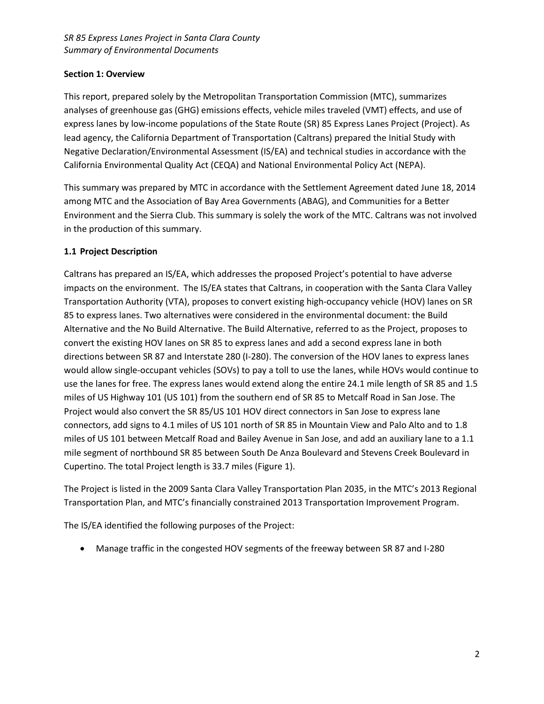# **Section 1: Overview**

This report, prepared solely by the Metropolitan Transportation Commission (MTC), summarizes analyses of greenhouse gas (GHG) emissions effects, vehicle miles traveled (VMT) effects, and use of express lanes by low-income populations of the State Route (SR) 85 Express Lanes Project (Project). As lead agency, the California Department of Transportation (Caltrans) prepared the Initial Study with Negative Declaration/Environmental Assessment (IS/EA) and technical studies in accordance with the California Environmental Quality Act (CEQA) and National Environmental Policy Act (NEPA).

This summary was prepared by MTC in accordance with the Settlement Agreement dated June 18, 2014 among MTC and the Association of Bay Area Governments (ABAG), and Communities for a Better Environment and the Sierra Club. This summary is solely the work of the MTC. Caltrans was not involved in the production of this summary.

# **1.1 Project Description**

Caltrans has prepared an IS/EA, which addresses the proposed Project's potential to have adverse impacts on the environment. The IS/EA states that Caltrans, in cooperation with the Santa Clara Valley Transportation Authority (VTA), proposes to convert existing high-occupancy vehicle (HOV) lanes on SR 85 to express lanes. Two alternatives were considered in the environmental document: the Build Alternative and the No Build Alternative. The Build Alternative, referred to as the Project, proposes to convert the existing HOV lanes on SR 85 to express lanes and add a second express lane in both directions between SR 87 and Interstate 280 (I-280). The conversion of the HOV lanes to express lanes would allow single-occupant vehicles (SOVs) to pay a toll to use the lanes, while HOVs would continue to use the lanes for free. The express lanes would extend along the entire 24.1 mile length of SR 85 and 1.5 miles of US Highway 101 (US 101) from the southern end of SR 85 to Metcalf Road in San Jose. The Project would also convert the SR 85/US 101 HOV direct connectors in San Jose to express lane connectors, add signs to 4.1 miles of US 101 north of SR 85 in Mountain View and Palo Alto and to 1.8 miles of US 101 between Metcalf Road and Bailey Avenue in San Jose, and add an auxiliary lane to a 1.1 mile segment of northbound SR 85 between South De Anza Boulevard and Stevens Creek Boulevard in Cupertino. The total Project length is 33.7 miles (Figure 1).

The Project is listed in the 2009 Santa Clara Valley Transportation Plan 2035, in the MTC's 2013 Regional Transportation Plan, and MTC's financially constrained 2013 Transportation Improvement Program.

The IS/EA identified the following purposes of the Project:

Manage traffic in the congested HOV segments of the freeway between SR 87 and I-280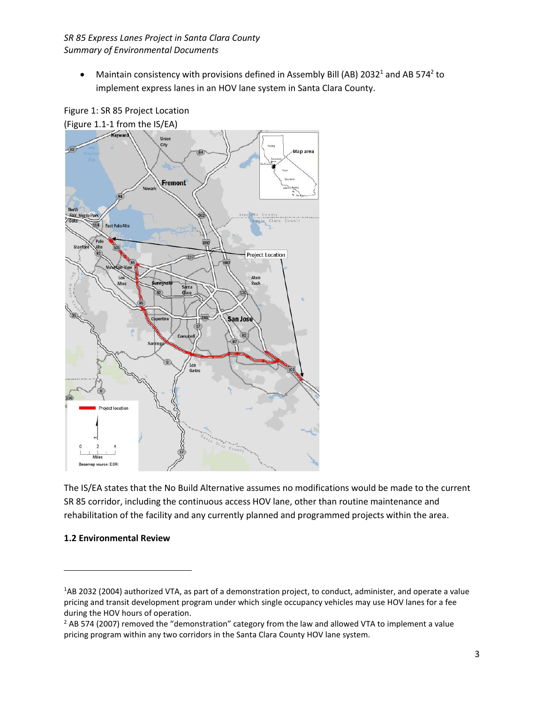• Maintain consistency with provisions defined in Assembly Bill (AB) 2032<sup>1</sup> and AB 574<sup>2</sup> to implement express lanes in an HOV lane system in Santa Clara County.



Figure 1: SR 85 Project Location

The IS/EA states that the No Build Alternative assumes no modifications would be made to the current SR 85 corridor, including the continuous access HOV lane, other than routine maintenance and rehabilitation of the facility and any currently planned and programmed projects within the area.

# **1.2 Environmental Review**

 $\overline{\phantom{a}}$ 

<sup>1</sup>AB 2032 (2004) authorized VTA, as part of a demonstration project, to conduct, administer, and operate a value pricing and transit development program under which single occupancy vehicles may use HOV lanes for a fee during the HOV hours of operation.

 $<sup>2</sup>$  AB 574 (2007) removed the "demonstration" category from the law and allowed VTA to implement a value</sup> pricing program within any two corridors in the Santa Clara County HOV lane system.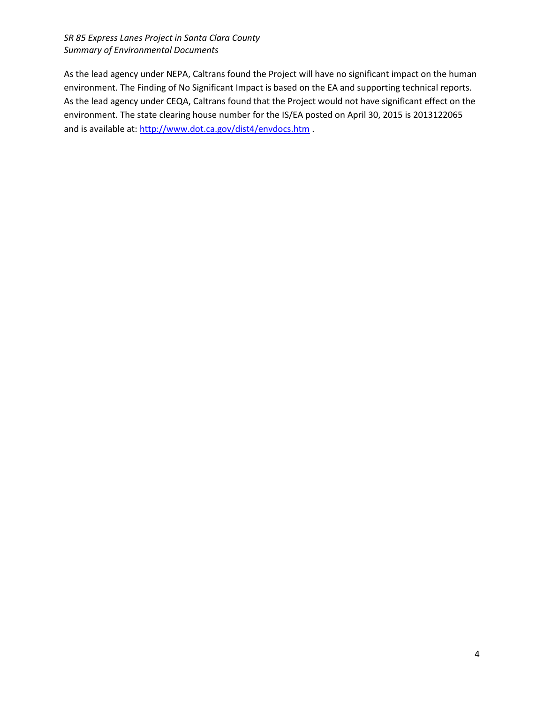As the lead agency under NEPA, Caltrans found the Project will have no significant impact on the human environment. The Finding of No Significant Impact is based on the EA and supporting technical reports. As the lead agency under CEQA, Caltrans found that the Project would not have significant effect on the environment. The state clearing house number for the IS/EA posted on April 30, 2015 is 2013122065 and is available at:<http://www.dot.ca.gov/dist4/envdocs.htm> .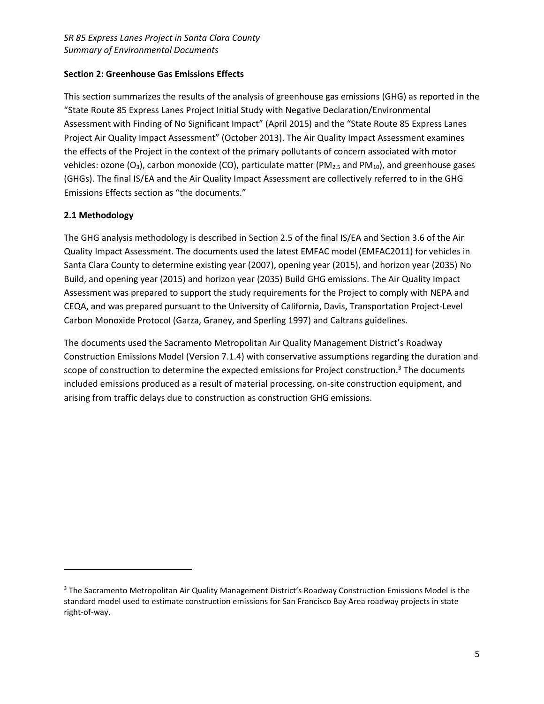# **Section 2: Greenhouse Gas Emissions Effects**

This section summarizes the results of the analysis of greenhouse gas emissions (GHG) as reported in the "State Route 85 Express Lanes Project Initial Study with Negative Declaration/Environmental Assessment with Finding of No Significant Impact" (April 2015) and the "State Route 85 Express Lanes Project Air Quality Impact Assessment" (October 2013). The Air Quality Impact Assessment examines the effects of the Project in the context of the primary pollutants of concern associated with motor vehicles: ozone (O<sub>3</sub>), carbon monoxide (CO), particulate matter (PM<sub>2.5</sub> and PM<sub>10</sub>), and greenhouse gases (GHGs). The final IS/EA and the Air Quality Impact Assessment are collectively referred to in the GHG Emissions Effects section as "the documents."

# **2.1 Methodology**

 $\overline{a}$ 

The GHG analysis methodology is described in Section 2.5 of the final IS/EA and Section 3.6 of the Air Quality Impact Assessment. The documents used the latest EMFAC model (EMFAC2011) for vehicles in Santa Clara County to determine existing year (2007), opening year (2015), and horizon year (2035) No Build, and opening year (2015) and horizon year (2035) Build GHG emissions. The Air Quality Impact Assessment was prepared to support the study requirements for the Project to comply with NEPA and CEQA, and was prepared pursuant to the University of California, Davis, Transportation Project-Level Carbon Monoxide Protocol (Garza, Graney, and Sperling 1997) and Caltrans guidelines.

The documents used the Sacramento Metropolitan Air Quality Management District's Roadway Construction Emissions Model (Version 7.1.4) with conservative assumptions regarding the duration and scope of construction to determine the expected emissions for Project construction.<sup>3</sup> The documents included emissions produced as a result of material processing, on-site construction equipment, and arising from traffic delays due to construction as construction GHG emissions.

<sup>&</sup>lt;sup>3</sup> The Sacramento Metropolitan Air Quality Management District's Roadway Construction Emissions Model is the standard model used to estimate construction emissions for San Francisco Bay Area roadway projects in state right-of-way.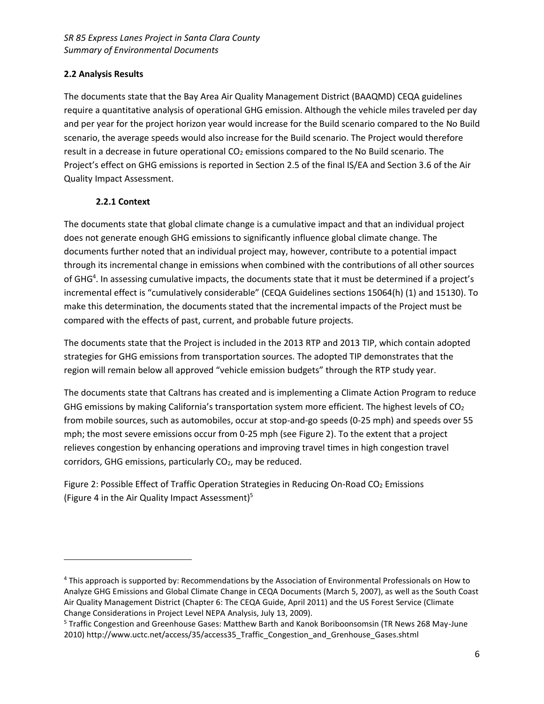# **2.2 Analysis Results**

The documents state that the Bay Area Air Quality Management District (BAAQMD) CEQA guidelines require a quantitative analysis of operational GHG emission. Although the vehicle miles traveled per day and per year for the project horizon year would increase for the Build scenario compared to the No Build scenario, the average speeds would also increase for the Build scenario. The Project would therefore result in a decrease in future operational  $CO<sub>2</sub>$  emissions compared to the No Build scenario. The Project's effect on GHG emissions is reported in Section 2.5 of the final IS/EA and Section 3.6 of the Air Quality Impact Assessment.

# **2.2.1 Context**

l

The documents state that global climate change is a cumulative impact and that an individual project does not generate enough GHG emissions to significantly influence global climate change. The documents further noted that an individual project may, however, contribute to a potential impact through its incremental change in emissions when combined with the contributions of all other sources of GHG<sup>4</sup>. In assessing cumulative impacts, the documents state that it must be determined if a project's incremental effect is "cumulatively considerable" (CEQA Guidelines sections 15064(h) (1) and 15130). To make this determination, the documents stated that the incremental impacts of the Project must be compared with the effects of past, current, and probable future projects.

The documents state that the Project is included in the 2013 RTP and 2013 TIP, which contain adopted strategies for GHG emissions from transportation sources. The adopted TIP demonstrates that the region will remain below all approved "vehicle emission budgets" through the RTP study year.

The documents state that Caltrans has created and is implementing a Climate Action Program to reduce GHG emissions by making California's transportation system more efficient. The highest levels of  $CO<sub>2</sub>$ from mobile sources, such as automobiles, occur at stop-and-go speeds (0-25 mph) and speeds over 55 mph; the most severe emissions occur from 0-25 mph (see Figure 2). To the extent that a project relieves congestion by enhancing operations and improving travel times in high congestion travel corridors, GHG emissions, particularly  $CO<sub>2</sub>$ , may be reduced.

Figure 2: Possible Effect of Traffic Operation Strategies in Reducing On-Road CO<sub>2</sub> Emissions (Figure 4 in the Air Quality Impact Assessment) 5

<sup>4</sup> This approach is supported by: Recommendations by the Association of Environmental Professionals on How to Analyze GHG Emissions and Global Climate Change in CEQA Documents (March 5, 2007), as well as the South Coast Air Quality Management District (Chapter 6: The CEQA Guide, April 2011) and the US Forest Service (Climate Change Considerations in Project Level NEPA Analysis, July 13, 2009).

<sup>5</sup> Traffic Congestion and Greenhouse Gases: Matthew Barth and Kanok Boriboonsomsin (TR News 268 May-June 2010) http://www.uctc.net/access/35/access35\_Traffic\_Congestion\_and\_Grenhouse\_Gases.shtml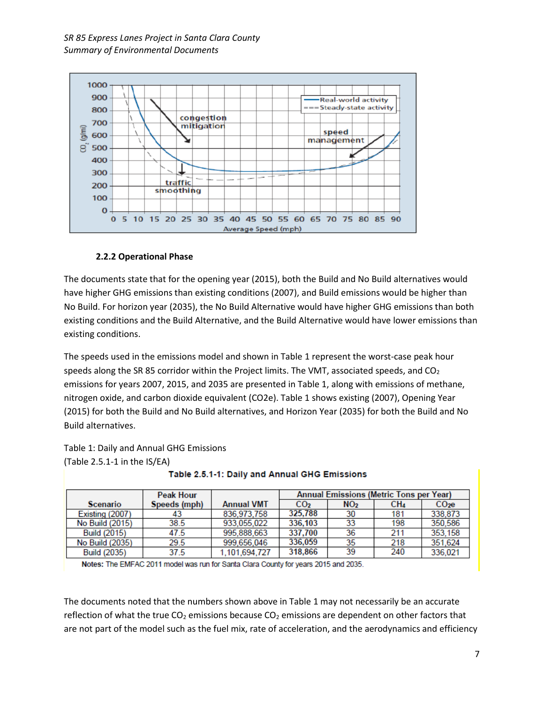

# **2.2.2 Operational Phase**

The documents state that for the opening year (2015), both the Build and No Build alternatives would have higher GHG emissions than existing conditions (2007), and Build emissions would be higher than No Build. For horizon year (2035), the No Build Alternative would have higher GHG emissions than both existing conditions and the Build Alternative, and the Build Alternative would have lower emissions than existing conditions.

The speeds used in the emissions model and shown in Table 1 represent the worst-case peak hour speeds along the SR 85 corridor within the Project limits. The VMT, associated speeds, and  $CO<sub>2</sub>$ emissions for years 2007, 2015, and 2035 are presented in Table 1, along with emissions of methane, nitrogen oxide, and carbon dioxide equivalent (CO2e). Table 1 shows existing (2007), Opening Year (2015) for both the Build and No Build alternatives, and Horizon Year (2035) for both the Build and No Build alternatives.

Table 1: Daily and Annual GHG Emissions (Table 2.5.1-1 in the IS/EA)

|                 | <b>Peak Hour</b> |                   | Annual Emissions (Metric Tons per Year) |                 |     |                 |
|-----------------|------------------|-------------------|-----------------------------------------|-----------------|-----|-----------------|
| <b>Scenario</b> | Speeds (mph)     | <b>Annual VMT</b> | CO <sub>2</sub>                         | NO <sub>2</sub> | CH4 | CO <sub>2</sub> |
| Existing (2007) | 43               | 836.973.758       | 325.788                                 | 30              | 181 | 338.873         |
| No Build (2015) | 38.5             | 933.055.022       | 336,103                                 | 33              | 198 | 350.586         |
| Build (2015)    | 47.5             | 995,888,663       | 337.700                                 | 36              | 211 | 353,158         |
| No Build (2035) | 29.5             | 999.656.046       | 336,059                                 | 35              | 218 | 351.624         |
| Build (2035)    | 37.5             | 1,101,694,727     | 318.866                                 | 39              | 240 | 336.021         |

Table 2.5.1-1: Daily and Annual GHG Emissions

Notes: The EMFAC 2011 model was run for Santa Clara County for years 2015 and 2035.

The documents noted that the numbers shown above in Table 1 may not necessarily be an accurate reflection of what the true  $CO<sub>2</sub>$  emissions because  $CO<sub>2</sub>$  emissions are dependent on other factors that are not part of the model such as the fuel mix, rate of acceleration, and the aerodynamics and efficiency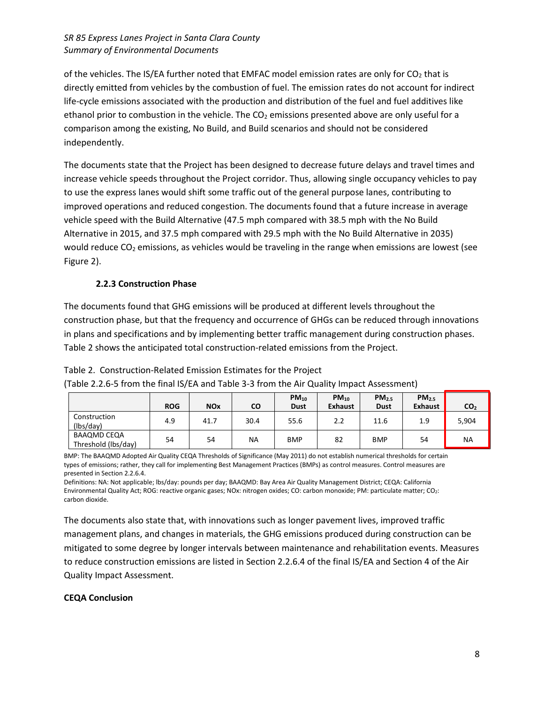of the vehicles. The IS/EA further noted that EMFAC model emission rates are only for  $CO<sub>2</sub>$  that is directly emitted from vehicles by the combustion of fuel. The emission rates do not account for indirect life-cycle emissions associated with the production and distribution of the fuel and fuel additives like ethanol prior to combustion in the vehicle. The CO<sub>2</sub> emissions presented above are only useful for a comparison among the existing, No Build, and Build scenarios and should not be considered independently.

The documents state that the Project has been designed to decrease future delays and travel times and increase vehicle speeds throughout the Project corridor. Thus, allowing single occupancy vehicles to pay to use the express lanes would shift some traffic out of the general purpose lanes, contributing to improved operations and reduced congestion. The documents found that a future increase in average vehicle speed with the Build Alternative (47.5 mph compared with 38.5 mph with the No Build Alternative in 2015, and 37.5 mph compared with 29.5 mph with the No Build Alternative in 2035) would reduce  $CO<sub>2</sub>$  emissions, as vehicles would be traveling in the range when emissions are lowest (see Figure 2).

# **2.2.3 Construction Phase**

The documents found that GHG emissions will be produced at different levels throughout the construction phase, but that the frequency and occurrence of GHGs can be reduced through innovations in plans and specifications and by implementing better traffic management during construction phases. Table 2 shows the anticipated total construction-related emissions from the Project.

# Table 2. Construction-Related Emission Estimates for the Project

| (Table 2.2.6-5 from the final IS/EA and Table 3-3 from the Air Quality Impact Assessment) |  |
|-------------------------------------------------------------------------------------------|--|
|-------------------------------------------------------------------------------------------|--|

|                                           | <b>ROG</b> | <b>NO<sub>x</sub></b> | CO   | $PM_{10}$<br><b>Dust</b> | $PM_{10}$<br><b>Exhaust</b> | PM <sub>2.5</sub><br><b>Dust</b> | PM <sub>2.5</sub><br><b>Exhaust</b> | CO <sub>2</sub> |
|-------------------------------------------|------------|-----------------------|------|--------------------------|-----------------------------|----------------------------------|-------------------------------------|-----------------|
| Construction<br>(lbs/day)                 | 4.9        | 41.7                  | 30.4 | 55.6                     | 2.2                         | 11.6                             | 1.9                                 | 5,904           |
| <b>BAAQMD CEQA</b><br>Threshold (lbs/day) | 54         | 54                    | ΝA   | <b>BMP</b>               | 82                          | <b>BMP</b>                       | 54                                  | <b>NA</b>       |

BMP: The BAAQMD Adopted Air Quality CEQA Thresholds of Significance (May 2011) do not establish numerical thresholds for certain types of emissions; rather, they call for implementing Best Management Practices (BMPs) as control measures. Control measures are presented in Section 2.2.6.4.

Definitions: NA: Not applicable; lbs/day: pounds per day; BAAQMD: Bay Area Air Quality Management District; CEQA: California Environmental Quality Act; ROG: reactive organic gases; NOx: nitrogen oxides; CO: carbon monoxide; PM: particulate matter; CO2: carbon dioxide.

The documents also state that, with innovations such as longer pavement lives, improved traffic management plans, and changes in materials, the GHG emissions produced during construction can be mitigated to some degree by longer intervals between maintenance and rehabilitation events. Measures to reduce construction emissions are listed in Section 2.2.6.4 of the final IS/EA and Section 4 of the Air Quality Impact Assessment.

#### **CEQA Conclusion**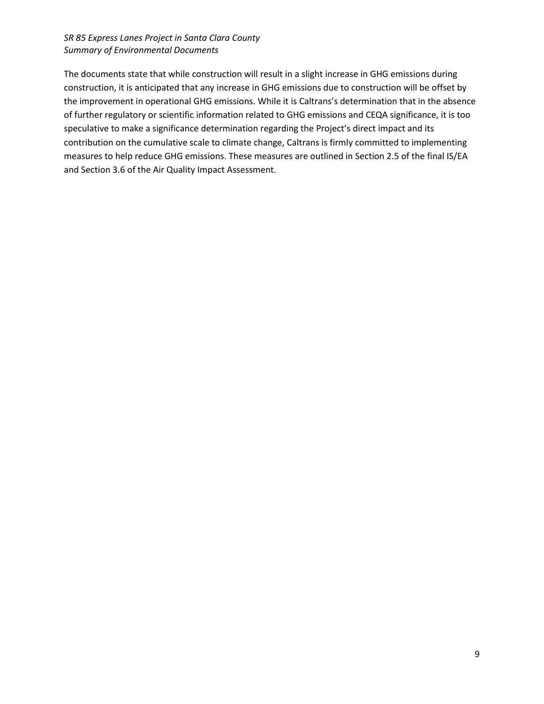The documents state that while construction will result in a slight increase in GHG emissions during construction, it is anticipated that any increase in GHG emissions due to construction will be offset by the improvement in operational GHG emissions. While it is Caltrans's determination that in the absence of further regulatory or scientific information related to GHG emissions and CEQA significance, it is too speculative to make a significance determination regarding the Project's direct impact and its contribution on the cumulative scale to climate change, Caltrans is firmly committed to implementing measures to help reduce GHG emissions. These measures are outlined in Section 2.5 of the final IS/EA and Section 3.6 of the Air Quality Impact Assessment.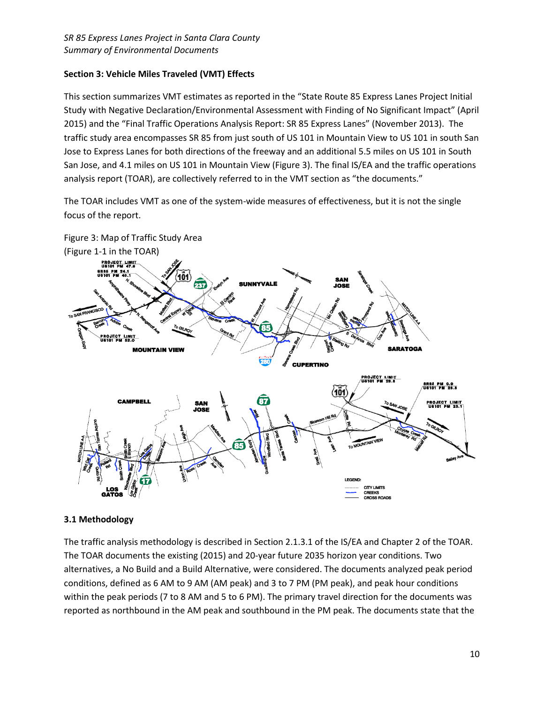# **Section 3: Vehicle Miles Traveled (VMT) Effects**

This section summarizes VMT estimates as reported in the "State Route 85 Express Lanes Project Initial Study with Negative Declaration/Environmental Assessment with Finding of No Significant Impact" (April 2015) and the "Final Traffic Operations Analysis Report: SR 85 Express Lanes" (November 2013). The traffic study area encompasses SR 85 from just south of US 101 in Mountain View to US 101 in south San Jose to Express Lanes for both directions of the freeway and an additional 5.5 miles on US 101 in South San Jose, and 4.1 miles on US 101 in Mountain View (Figure 3). The final IS/EA and the traffic operations analysis report (TOAR), are collectively referred to in the VMT section as "the documents."

The TOAR includes VMT as one of the system-wide measures of effectiveness, but it is not the single focus of the report.



# **3.1 Methodology**

The traffic analysis methodology is described in Section 2.1.3.1 of the IS/EA and Chapter 2 of the TOAR. The TOAR documents the existing (2015) and 20-year future 2035 horizon year conditions. Two alternatives, a No Build and a Build Alternative, were considered. The documents analyzed peak period conditions, defined as 6 AM to 9 AM (AM peak) and 3 to 7 PM (PM peak), and peak hour conditions within the peak periods (7 to 8 AM and 5 to 6 PM). The primary travel direction for the documents was reported as northbound in the AM peak and southbound in the PM peak. The documents state that the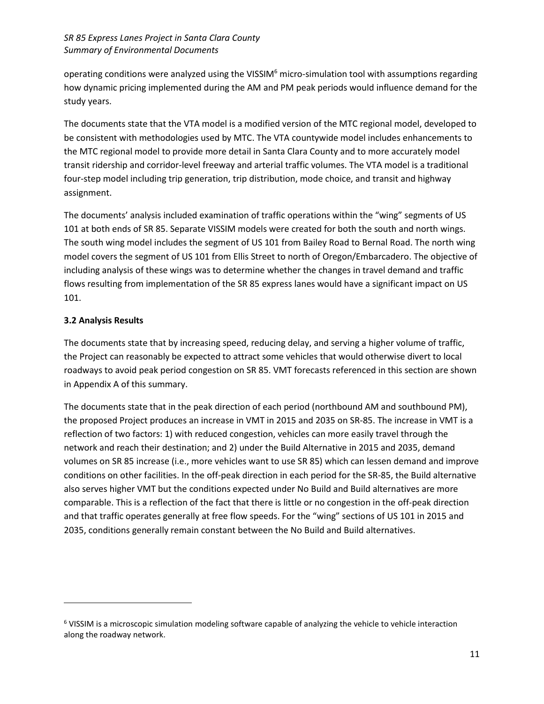operating conditions were analyzed using the VISSIM<sup>6</sup> micro-simulation tool with assumptions regarding how dynamic pricing implemented during the AM and PM peak periods would influence demand for the study years.

The documents state that the VTA model is a modified version of the MTC regional model, developed to be consistent with methodologies used by MTC. The VTA countywide model includes enhancements to the MTC regional model to provide more detail in Santa Clara County and to more accurately model transit ridership and corridor‐level freeway and arterial traffic volumes. The VTA model is a traditional four-step model including trip generation, trip distribution, mode choice, and transit and highway assignment.

The documents' analysis included examination of traffic operations within the "wing" segments of US 101 at both ends of SR 85. Separate VISSIM models were created for both the south and north wings. The south wing model includes the segment of US 101 from Bailey Road to Bernal Road. The north wing model covers the segment of US 101 from Ellis Street to north of Oregon/Embarcadero. The objective of including analysis of these wings was to determine whether the changes in travel demand and traffic flows resulting from implementation of the SR 85 express lanes would have a significant impact on US 101.

# **3.2 Analysis Results**

 $\overline{\phantom{a}}$ 

The documents state that by increasing speed, reducing delay, and serving a higher volume of traffic, the Project can reasonably be expected to attract some vehicles that would otherwise divert to local roadways to avoid peak period congestion on SR 85. VMT forecasts referenced in this section are shown in Appendix A of this summary.

The documents state that in the peak direction of each period (northbound AM and southbound PM), the proposed Project produces an increase in VMT in 2015 and 2035 on SR-85. The increase in VMT is a reflection of two factors: 1) with reduced congestion, vehicles can more easily travel through the network and reach their destination; and 2) under the Build Alternative in 2015 and 2035, demand volumes on SR 85 increase (i.e., more vehicles want to use SR 85) which can lessen demand and improve conditions on other facilities. In the off-peak direction in each period for the SR-85, the Build alternative also serves higher VMT but the conditions expected under No Build and Build alternatives are more comparable. This is a reflection of the fact that there is little or no congestion in the off-peak direction and that traffic operates generally at free flow speeds. For the "wing" sections of US 101 in 2015 and 2035, conditions generally remain constant between the No Build and Build alternatives.

 $6$  VISSIM is a microscopic simulation modeling software capable of analyzing the vehicle to vehicle interaction along the roadway network.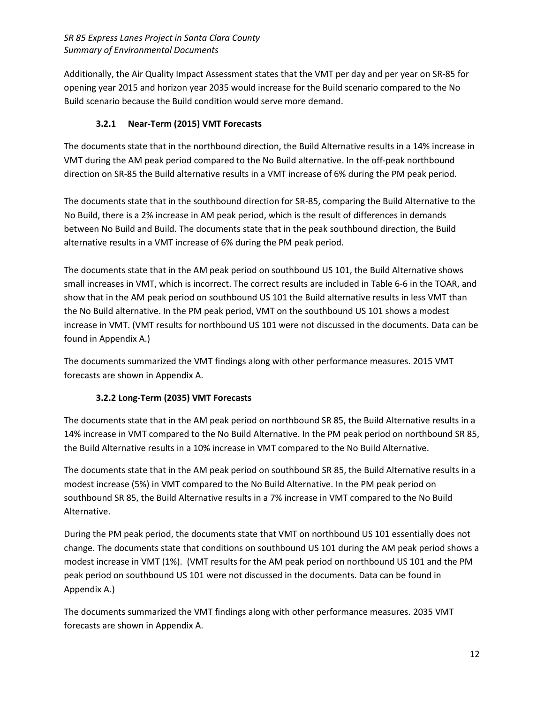Additionally, the Air Quality Impact Assessment states that the VMT per day and per year on SR-85 for opening year 2015 and horizon year 2035 would increase for the Build scenario compared to the No Build scenario because the Build condition would serve more demand.

# **3.2.1 Near-Term (2015) VMT Forecasts**

The documents state that in the northbound direction, the Build Alternative results in a 14% increase in VMT during the AM peak period compared to the No Build alternative. In the off-peak northbound direction on SR-85 the Build alternative results in a VMT increase of 6% during the PM peak period.

The documents state that in the southbound direction for SR-85, comparing the Build Alternative to the No Build, there is a 2% increase in AM peak period, which is the result of differences in demands between No Build and Build. The documents state that in the peak southbound direction, the Build alternative results in a VMT increase of 6% during the PM peak period.

The documents state that in the AM peak period on southbound US 101, the Build Alternative shows small increases in VMT, which is incorrect. The correct results are included in Table 6-6 in the TOAR, and show that in the AM peak period on southbound US 101 the Build alternative results in less VMT than the No Build alternative. In the PM peak period, VMT on the southbound US 101 shows a modest increase in VMT. (VMT results for northbound US 101 were not discussed in the documents. Data can be found in Appendix A.)

The documents summarized the VMT findings along with other performance measures. 2015 VMT forecasts are shown in Appendix A.

# **3.2.2 Long-Term (2035) VMT Forecasts**

The documents state that in the AM peak period on northbound SR 85, the Build Alternative results in a 14% increase in VMT compared to the No Build Alternative. In the PM peak period on northbound SR 85, the Build Alternative results in a 10% increase in VMT compared to the No Build Alternative.

The documents state that in the AM peak period on southbound SR 85, the Build Alternative results in a modest increase (5%) in VMT compared to the No Build Alternative. In the PM peak period on southbound SR 85, the Build Alternative results in a 7% increase in VMT compared to the No Build Alternative.

During the PM peak period, the documents state that VMT on northbound US 101 essentially does not change. The documents state that conditions on southbound US 101 during the AM peak period shows a modest increase in VMT (1%). (VMT results for the AM peak period on northbound US 101 and the PM peak period on southbound US 101 were not discussed in the documents. Data can be found in Appendix A.)

The documents summarized the VMT findings along with other performance measures. 2035 VMT forecasts are shown in Appendix A.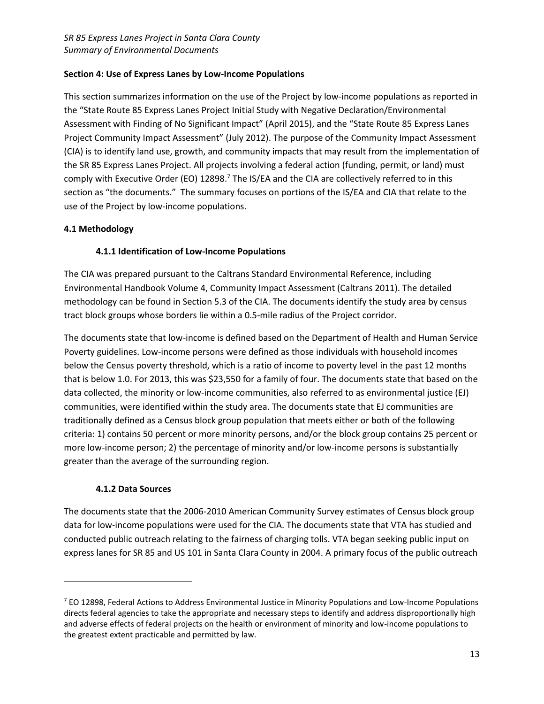# **Section 4: Use of Express Lanes by Low-Income Populations**

This section summarizes information on the use of the Project by low-income populations as reported in the "State Route 85 Express Lanes Project Initial Study with Negative Declaration/Environmental Assessment with Finding of No Significant Impact" (April 2015), and the "State Route 85 Express Lanes Project Community Impact Assessment" (July 2012). The purpose of the Community Impact Assessment (CIA) is to identify land use, growth, and community impacts that may result from the implementation of the SR 85 Express Lanes Project. All projects involving a federal action (funding, permit, or land) must comply with Executive Order (EO) 12898.<sup>7</sup> The IS/EA and the CIA are collectively referred to in this section as "the documents." The summary focuses on portions of the IS/EA and CIA that relate to the use of the Project by low-income populations.

# **4.1 Methodology**

# **4.1.1 Identification of Low-Income Populations**

The CIA was prepared pursuant to the Caltrans Standard Environmental Reference, including Environmental Handbook Volume 4, Community Impact Assessment (Caltrans 2011). The detailed methodology can be found in Section 5.3 of the CIA. The documents identify the study area by census tract block groups whose borders lie within a 0.5-mile radius of the Project corridor.

The documents state that low-income is defined based on the Department of Health and Human Service Poverty guidelines. Low-income persons were defined as those individuals with household incomes below the Census poverty threshold, which is a ratio of income to poverty level in the past 12 months that is below 1.0. For 2013, this was \$23,550 for a family of four. The documents state that based on the data collected, the minority or low-income communities, also referred to as environmental justice (EJ) communities, were identified within the study area. The documents state that EJ communities are traditionally defined as a Census block group population that meets either or both of the following criteria: 1) contains 50 percent or more minority persons, and/or the block group contains 25 percent or more low-income person; 2) the percentage of minority and/or low-income persons is substantially greater than the average of the surrounding region.

# **4.1.2 Data Sources**

l

The documents state that the 2006-2010 American Community Survey estimates of Census block group data for low-income populations were used for the CIA. The documents state that VTA has studied and conducted public outreach relating to the fairness of charging tolls. VTA began seeking public input on express lanes for SR 85 and US 101 in Santa Clara County in 2004. A primary focus of the public outreach

<sup>7</sup> EO 12898, Federal Actions to Address Environmental Justice in Minority Populations and Low-Income Populations directs federal agencies to take the appropriate and necessary steps to identify and address disproportionally high and adverse effects of federal projects on the health or environment of minority and low-income populations to the greatest extent practicable and permitted by law.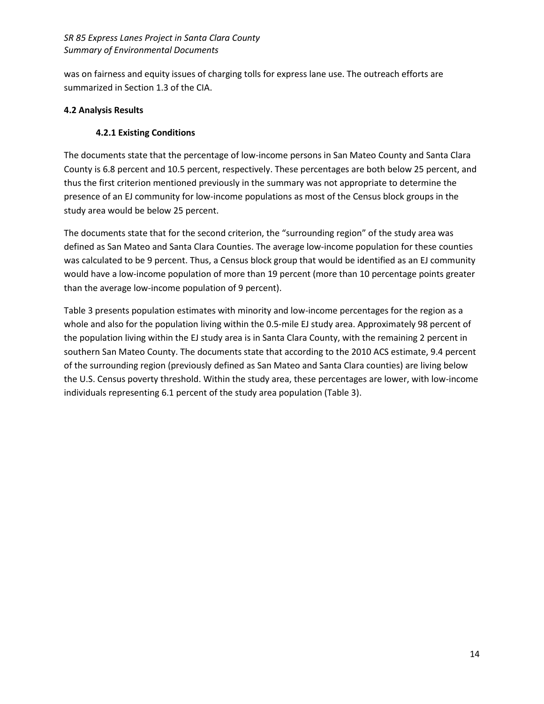was on fairness and equity issues of charging tolls for express lane use. The outreach efforts are summarized in Section 1.3 of the CIA.

#### **4.2 Analysis Results**

# **4.2.1 Existing Conditions**

The documents state that the percentage of low-income persons in San Mateo County and Santa Clara County is 6.8 percent and 10.5 percent, respectively. These percentages are both below 25 percent, and thus the first criterion mentioned previously in the summary was not appropriate to determine the presence of an EJ community for low-income populations as most of the Census block groups in the study area would be below 25 percent.

The documents state that for the second criterion, the "surrounding region" of the study area was defined as San Mateo and Santa Clara Counties. The average low-income population for these counties was calculated to be 9 percent. Thus, a Census block group that would be identified as an EJ community would have a low-income population of more than 19 percent (more than 10 percentage points greater than the average low-income population of 9 percent).

Table 3 presents population estimates with minority and low-income percentages for the region as a whole and also for the population living within the 0.5-mile EJ study area. Approximately 98 percent of the population living within the EJ study area is in Santa Clara County, with the remaining 2 percent in southern San Mateo County. The documents state that according to the 2010 ACS estimate, 9.4 percent of the surrounding region (previously defined as San Mateo and Santa Clara counties) are living below the U.S. Census poverty threshold. Within the study area, these percentages are lower, with low-income individuals representing 6.1 percent of the study area population (Table 3).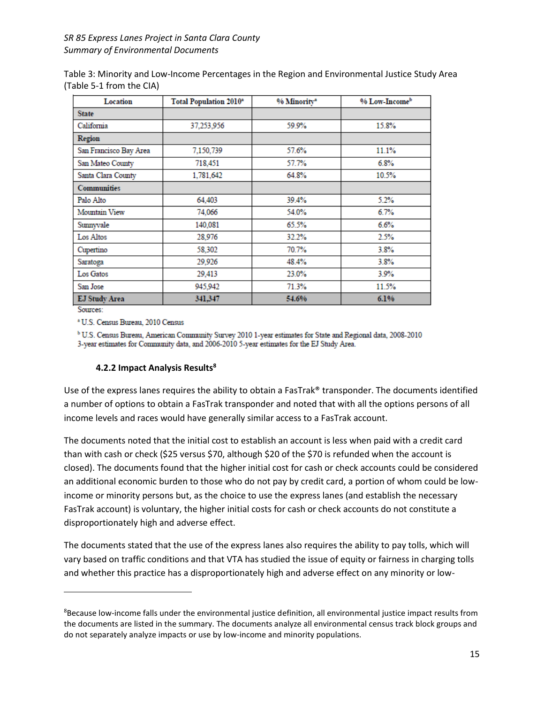Table 3: Minority and Low-Income Percentages in the Region and Environmental Justice Study Area (Table 5-1 from the CIA)

| <b>Location</b>        | <b>Total Population 2010*</b> | % Minority* | % Low-Income <sup>b</sup> |
|------------------------|-------------------------------|-------------|---------------------------|
| <b>State</b>           |                               |             |                           |
| California             | 37.253,956                    | 59.9%       | 15.8%                     |
| Region                 |                               |             |                           |
| San Francisco Bay Area | 7,150,739                     | 57.6%       | 11.1%                     |
| San Mateo County       | 718,451                       | 57.7%       | 6.8%                      |
| Santa Clara County     | 1,781,642                     | 64.8%       | 10.5%                     |
| <b>Communities</b>     |                               |             |                           |
| Palo Alto              | 64.403                        | 39.4%       | 5.2%                      |
| Mountain View          | 74,066                        | 54.0%       | 6.7%                      |
| Sumnyvale              | 140,081                       | 65.5%       | 6.6%                      |
| Los Altos              | 28.976                        | 32.2%       | 2.5%                      |
| Cupertino              | 58.302                        | 70.7%       | 3.8%                      |
| Saratoga               | 29,926                        | 48.4%       | 3.8%                      |
| Los Gatos              | 29.413                        | 23.0%       | 3.9%                      |
| San Jose               | 945.942                       | 71.3%       | 11.5%                     |
| <b>EJ Study Area</b>   | 341,347                       | 54.6%       | 6.1%                      |

Sources:

 $\overline{a}$ 

<sup>\*</sup> U.S. Census Bureau, 2010 Census

<sup>b</sup> U.S. Census Bureau, American Community Survey 2010 1-year estimates for State and Regional data, 2008-2010 3-year estimates for Community data, and 2006-2010 5-year estimates for the EJ Study Area.

#### **4.2.2 Impact Analysis Results<sup>8</sup>**

Use of the express lanes requires the ability to obtain a FasTrak® transponder. The documents identified a number of options to obtain a FasTrak transponder and noted that with all the options persons of all income levels and races would have generally similar access to a FasTrak account.

The documents noted that the initial cost to establish an account is less when paid with a credit card than with cash or check (\$25 versus \$70, although \$20 of the \$70 is refunded when the account is closed). The documents found that the higher initial cost for cash or check accounts could be considered an additional economic burden to those who do not pay by credit card, a portion of whom could be lowincome or minority persons but, as the choice to use the express lanes (and establish the necessary FasTrak account) is voluntary, the higher initial costs for cash or check accounts do not constitute a disproportionately high and adverse effect.

The documents stated that the use of the express lanes also requires the ability to pay tolls, which will vary based on traffic conditions and that VTA has studied the issue of equity or fairness in charging tolls and whether this practice has a disproportionately high and adverse effect on any minority or low-

<sup>&</sup>lt;sup>8</sup>Because low-income falls under the environmental justice definition, all environmental justice impact results from the documents are listed in the summary. The documents analyze all environmental census track block groups and do not separately analyze impacts or use by low-income and minority populations.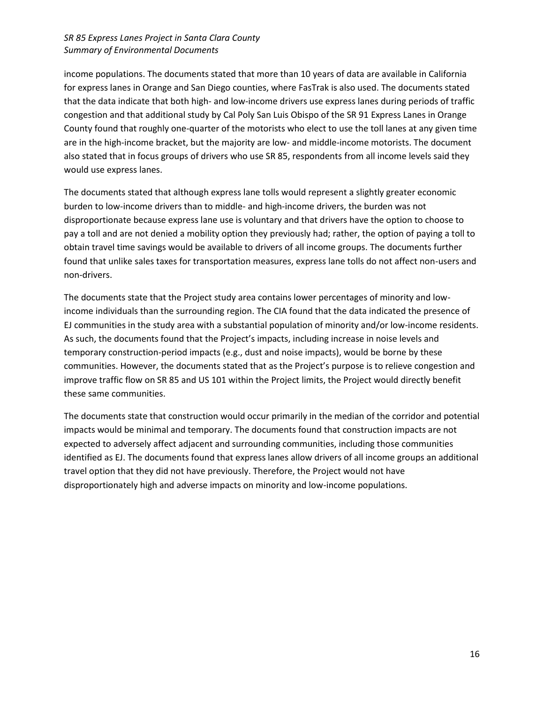income populations. The documents stated that more than 10 years of data are available in California for express lanes in Orange and San Diego counties, where FasTrak is also used. The documents stated that the data indicate that both high- and low-income drivers use express lanes during periods of traffic congestion and that additional study by Cal Poly San Luis Obispo of the SR 91 Express Lanes in Orange County found that roughly one-quarter of the motorists who elect to use the toll lanes at any given time are in the high-income bracket, but the majority are low- and middle-income motorists. The document also stated that in focus groups of drivers who use SR 85, respondents from all income levels said they would use express lanes.

The documents stated that although express lane tolls would represent a slightly greater economic burden to low-income drivers than to middle- and high-income drivers, the burden was not disproportionate because express lane use is voluntary and that drivers have the option to choose to pay a toll and are not denied a mobility option they previously had; rather, the option of paying a toll to obtain travel time savings would be available to drivers of all income groups. The documents further found that unlike sales taxes for transportation measures, express lane tolls do not affect non-users and non-drivers.

The documents state that the Project study area contains lower percentages of minority and lowincome individuals than the surrounding region. The CIA found that the data indicated the presence of EJ communities in the study area with a substantial population of minority and/or low-income residents. As such, the documents found that the Project's impacts, including increase in noise levels and temporary construction-period impacts (e.g., dust and noise impacts), would be borne by these communities. However, the documents stated that as the Project's purpose is to relieve congestion and improve traffic flow on SR 85 and US 101 within the Project limits, the Project would directly benefit these same communities.

The documents state that construction would occur primarily in the median of the corridor and potential impacts would be minimal and temporary. The documents found that construction impacts are not expected to adversely affect adjacent and surrounding communities, including those communities identified as EJ. The documents found that express lanes allow drivers of all income groups an additional travel option that they did not have previously. Therefore, the Project would not have disproportionately high and adverse impacts on minority and low-income populations.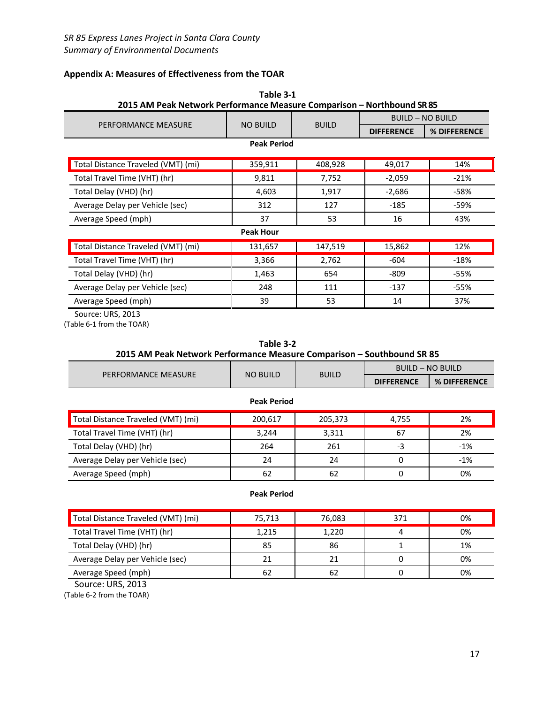# **Appendix A: Measures of Effectiveness from the TOAR**

| 2015 AM Peak Network Performance Measure Comparison - Northbound SR 85 | rapie 3-1          |              |                         |                         |
|------------------------------------------------------------------------|--------------------|--------------|-------------------------|-------------------------|
|                                                                        |                    |              | <b>BUILD - NO BUILD</b> |                         |
| PERFORMANCE MEASURE                                                    | <b>NO BUILD</b>    | <b>BUILD</b> | <b>DIFFERENCE</b>       | % DIFFERENCE            |
|                                                                        | <b>Peak Period</b> |              |                         |                         |
| Total Distance Traveled (VMT) (mi)                                     | 359,911            | 408,928      | 49,017                  | 14%                     |
| Total Travel Time (VHT) (hr)                                           | 9,811              | 7,752        | $-2,059$                | $-21%$                  |
| Total Delay (VHD) (hr)                                                 | 4,603              | 1,917        | $-2,686$                | $-58%$                  |
| Average Delay per Vehicle (sec)                                        | 312                | 127          | $-185$                  | $-59%$                  |
| Average Speed (mph)                                                    | 37                 | 53           | 16                      | 43%                     |
|                                                                        | <b>Peak Hour</b>   |              |                         |                         |
| Total Distance Traveled (VMT) (mi)                                     | 131,657            | 147,519      | 15,862                  | 12%                     |
| Total Travel Time (VHT) (hr)                                           | 3,366              | 2,762        | $-604$                  | $-18%$                  |
| Total Delay (VHD) (hr)                                                 | 1,463              | 654          | $-809$                  | $-55%$                  |
| Average Delay per Vehicle (sec)                                        | 248                | 111          | $-137$                  | $-55%$                  |
| Average Speed (mph)                                                    | 39                 | 53           | 14                      | 37%                     |
| 2015 AM Peak Network Performance Measure Comparison - Southbound SR 85 |                    |              |                         | <b>BUILD - NO BUILD</b> |
| PERFORMANCE MEASURE                                                    | <b>NO BUILD</b>    | <b>BUILD</b> | <b>DIFFERENCE</b>       | % DIFFERENCE            |
|                                                                        | <b>Peak Period</b> |              |                         |                         |
| Total Distance Traveled (VMT) (mi)                                     | 200,617            | 205,373      | 4,755                   |                         |
| Total Travel Time (VHT) (hr)                                           |                    |              |                         | 2%                      |
| Total Delay (VHD) (hr)                                                 | 3,244              | 3,311        | 67                      | 2%                      |
| Average Delay per Vehicle (sec)                                        | 264                | 261          | -3                      | $-1%$                   |
|                                                                        | 24                 | 24           | 0                       | $-1%$                   |
| Average Speed (mph)                                                    | 62                 | 62           | $\mathbf 0$             | 0%                      |
|                                                                        | <b>Peak Period</b> |              |                         |                         |
|                                                                        | 75,713             | 76,083       | 371                     | 0%                      |
| Total Travel Time (VHT) (hr)                                           | 1,215              | 1,220        | $\overline{\mathbf{4}}$ | 0%                      |
| Total Distance Traveled (VMT) (mi)<br>Total Delay (VHD) (hr)           | 85                 | 86           | $\mathbf{1}$            | 1%                      |

# **Table 3-1**

Average Speed (mph) 62 62 62 0 0%

Source: URS, 2013

(Table 6-2 from the TOAR)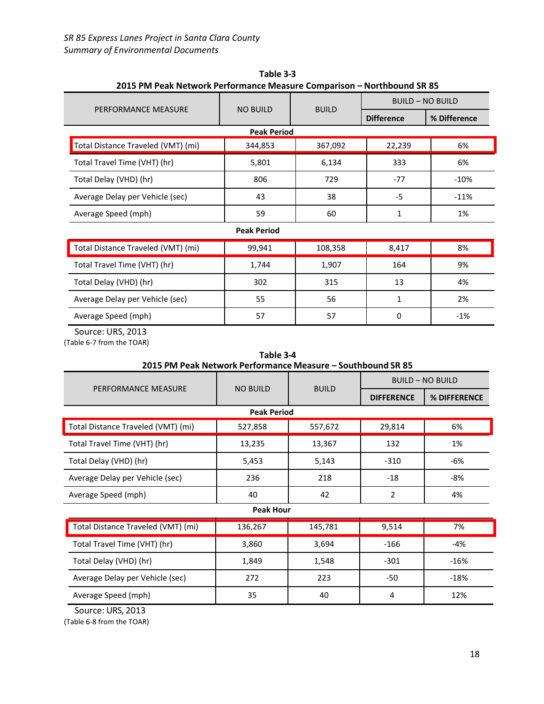| PERFORMANCE MEASURE                |                    |              | <b>BUILD - NO BUILD</b> |              |
|------------------------------------|--------------------|--------------|-------------------------|--------------|
|                                    | <b>NO BUILD</b>    | <b>BUILD</b> | <b>Difference</b>       | % Difference |
|                                    | <b>Peak Period</b> |              |                         |              |
| Total Distance Traveled (VMT) (mi) | 344,853            | 367,092      | 22,239                  | 6%           |
| Total Travel Time (VHT) (hr)       | 5,801              | 6,134        | 333                     | 6%           |
| Total Delay (VHD) (hr)             | 806                | 729          | $-77$                   | $-10%$       |
| Average Delay per Vehicle (sec)    | 43                 | 38           | $-5$                    | $-11%$       |
| Average Speed (mph)                | 59                 | 60           | 1                       | 1%           |
|                                    | <b>Peak Period</b> |              |                         |              |
| Total Distance Traveled (VMT) (mi) | 99,941             | 108,358      | 8,417                   | 8%           |
| Total Travel Time (VHT) (hr)       | 1,744              | 1,907        | 164                     | 9%           |
| Total Delay (VHD) (hr)             | 302                | 315          | 13                      | 4%           |
| Average Delay per Vehicle (sec)    | 55                 | 56           | 1                       | 2%           |

**Table 3-3 2015 PM Peak Network Performance Measure Comparison – Northbound SR 85**

Source: URS, 2013

(Table 6-7 from the TOAR)

| Table 3-4                                                   |  |  |                  |  |  |
|-------------------------------------------------------------|--|--|------------------|--|--|
| 2015 PM Peak Network Performance Measure – Southbound SR 85 |  |  |                  |  |  |
|                                                             |  |  | BUILD - NO BUILD |  |  |

Average Speed (mph) 57 57 0 ‐1%

| PERFORMANCE MEASURE                | <b>NO BUILD</b>    | <b>BUILD</b> |                   |              |
|------------------------------------|--------------------|--------------|-------------------|--------------|
|                                    |                    |              | <b>DIFFERENCE</b> | % DIFFERENCE |
|                                    | <b>Peak Period</b> |              |                   |              |
| Total Distance Traveled (VMT) (mi) | 527,858            | 557,672      | 29,814            | 6%           |
| Total Travel Time (VHT) (hr)       | 13,235             | 13,367       | 132               | 1%           |
| Total Delay (VHD) (hr)             | 5,453              | 5,143        | $-310$            | -6%          |
| Average Delay per Vehicle (sec)    | 236                | 218          | $-18$             | -8%          |
| Average Speed (mph)                | 40                 | 42           | 2                 | 4%           |
|                                    | <b>Peak Hour</b>   |              |                   |              |
| Total Distance Traveled (VMT) (mi) | 136,267            | 145,781      | 9,514             | 7%           |
| Total Travel Time (VHT) (hr)       | 3,860              | 3,694        | $-166$            | -4%          |
| Total Delay (VHD) (hr)             | 1,849              | 1,548        | $-301$            | $-16%$       |

Average Delay per Vehicle (sec) 272 223 ‐50 ‐18% Average Speed (mph) 35 40 4 12%

Source: URS, 2013

(Table 6-8 from the TOAR)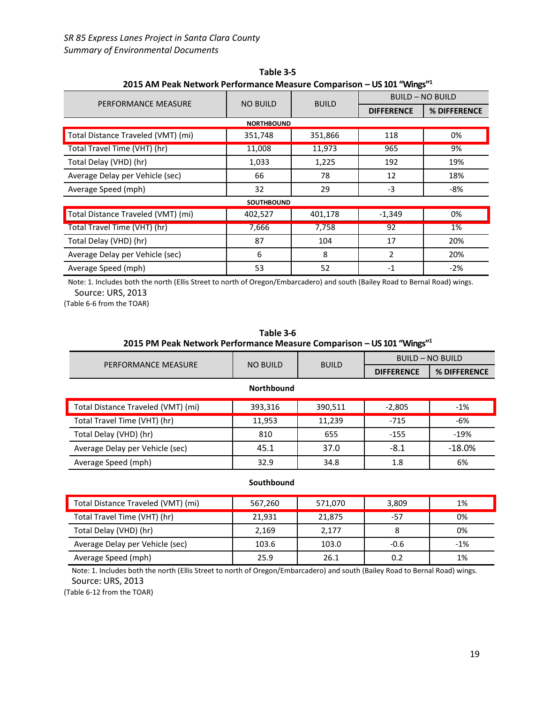| 2015 ANI Peak Network Performance Measure Comparison – US 101 "Wings". |                   |              |                         |              |  |  |  |
|------------------------------------------------------------------------|-------------------|--------------|-------------------------|--------------|--|--|--|
| PERFORMANCE MEASURE                                                    | <b>NO BUILD</b>   | <b>BUILD</b> | <b>BUILD - NO BUILD</b> |              |  |  |  |
|                                                                        |                   |              | <b>DIFFERENCE</b>       | % DIFFERENCE |  |  |  |
| <b>NORTHBOUND</b>                                                      |                   |              |                         |              |  |  |  |
| Total Distance Traveled (VMT) (mi)                                     | 351,748           | 351,866      | 118                     | 0%           |  |  |  |
| Total Travel Time (VHT) (hr)                                           | 11,008            | 11,973       | 965                     | 9%           |  |  |  |
| Total Delay (VHD) (hr)                                                 | 1,033             | 1,225        | 192                     | 19%          |  |  |  |
| Average Delay per Vehicle (sec)                                        | 66                | 78           | 12                      | 18%          |  |  |  |
| Average Speed (mph)                                                    | 32                | 29           | $-3$                    | -8%          |  |  |  |
|                                                                        | <b>SOUTHBOUND</b> |              |                         |              |  |  |  |
| Total Distance Traveled (VMT) (mi)                                     | 402,527           | 401,178      | $-1,349$                | 0%           |  |  |  |
| Total Travel Time (VHT) (hr)                                           | 7,666             | 7,758        | 92                      | 1%           |  |  |  |
| Total Delay (VHD) (hr)                                                 | 87                | 104          | 17                      | 20%          |  |  |  |
| Average Delay per Vehicle (sec)                                        | 6                 | 8            | 2                       | 20%          |  |  |  |
| Average Speed (mph)                                                    | 53                | 52           | $-1$                    | -2%          |  |  |  |

**Table 3-5 2015 AM Peak Network Performance Measure Comparison – US 101 "Wings"<sup>1</sup>**

Note: 1. Includes both the north (Ellis Street to north of Oregon/Embarcadero) and south (Bailey Road to Bernal Road) wings. Source: URS, 2013

(Table 6-6 from the TOAR)

| 2015 PM Peak Network Performance Measure Comparison - US 101 "Wings" <sup>1</sup> |                 |              |                         |              |  |  |
|-----------------------------------------------------------------------------------|-----------------|--------------|-------------------------|--------------|--|--|
| PERFORMANCE MEASURE                                                               | <b>NO BUILD</b> | <b>BUILD</b> | <b>BUILD - NO BUILD</b> |              |  |  |
|                                                                                   |                 |              | <b>DIFFERENCE</b>       | % DIFFERENCE |  |  |
| <b>Northbound</b>                                                                 |                 |              |                         |              |  |  |
| Total Distance Traveled (VMT) (mi)                                                | 393,316         | 390,511      | $-2,805$                | $-1%$        |  |  |
| Total Travel Time (VHT) (hr)                                                      | 11,953          | 11,239       | $-715$                  | $-6%$        |  |  |
| Total Delay (VHD) (hr)                                                            | 810             | 655          | $-155$                  | $-19%$       |  |  |
| Average Delay per Vehicle (sec)                                                   | 45.1            | 37.0         | $-8.1$                  | $-18.0%$     |  |  |
| Average Speed (mph)                                                               | 32.9            | 34.8         | 1.8                     | 6%           |  |  |

# **Table 3-6**

#### **Southbound**

| Total Distance Traveled (VMT) (mi) | 567,260 | 571,070 | 3,809  | 1%    |
|------------------------------------|---------|---------|--------|-------|
| Total Travel Time (VHT) (hr)       | 21,931  | 21,875  | -57    | 0%    |
| Total Delay (VHD) (hr)             | 2,169   | 2,177   |        | 0%    |
| Average Delay per Vehicle (sec)    | 103.6   | 103.0   | $-0.6$ | $-1%$ |
| Average Speed (mph)                | 25.9    | 26.1    | 0.2    | 1%    |

Note: 1. Includes both the north (Ellis Street to north of Oregon/Embarcadero) and south (Bailey Road to Bernal Road) wings. Source: URS, 2013

(Table 6-12 from the TOAR)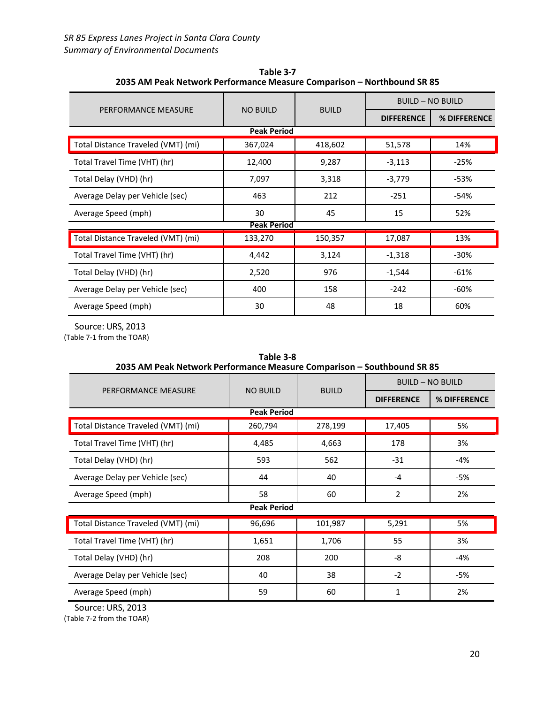| PERFORMANCE MEASURE                |                    |              | <b>BUILD - NO BUILD</b> |              |  |
|------------------------------------|--------------------|--------------|-------------------------|--------------|--|
|                                    | <b>NO BUILD</b>    | <b>BUILD</b> | <b>DIFFERENCE</b>       | % DIFFERENCE |  |
|                                    | <b>Peak Period</b> |              |                         |              |  |
| Total Distance Traveled (VMT) (mi) | 367,024            | 418,602      | 51,578                  | 14%          |  |
| Total Travel Time (VHT) (hr)       | 12,400             | 9,287        | $-3,113$                | $-25%$       |  |
| Total Delay (VHD) (hr)             | 7,097              | 3,318        | $-3,779$                | $-53%$       |  |
| Average Delay per Vehicle (sec)    | 463                | 212          | $-251$                  | $-54%$       |  |
| Average Speed (mph)                | 30                 | 45           | 15                      | 52%          |  |
|                                    | <b>Peak Period</b> |              |                         |              |  |
| Total Distance Traveled (VMT) (mi) | 133,270            | 150,357      | 17,087                  | 13%          |  |
| Total Travel Time (VHT) (hr)       | 4,442              | 3,124        | $-1,318$                | $-30%$       |  |
| Total Delay (VHD) (hr)             | 2,520              | 976          | $-1,544$                | $-61%$       |  |
| Average Delay per Vehicle (sec)    | 400                | 158          | $-242$                  | $-60%$       |  |
| Average Speed (mph)                | 30                 | 48           | 18                      | 60%          |  |

**Table 3-7 2035 AM Peak Network Performance Measure Comparison – Northbound SR 85**

Source: URS, 2013 (Table 7-1 from the TOAR)

| Table 3-8<br>2035 AM Peak Network Performance Measure Comparison - Southbound SR 85 |                    |              |                         |              |  |
|-------------------------------------------------------------------------------------|--------------------|--------------|-------------------------|--------------|--|
| PERFORMANCE MEASURE                                                                 | <b>NO BUILD</b>    | <b>BUILD</b> | <b>BUILD - NO BUILD</b> |              |  |
|                                                                                     |                    |              | <b>DIFFERENCE</b>       | % DIFFERENCE |  |
|                                                                                     | <b>Peak Period</b> |              |                         |              |  |
| Total Distance Traveled (VMT) (mi)                                                  | 260,794            | 278,199      | 17,405                  | 5%           |  |
| Total Travel Time (VHT) (hr)                                                        | 4,485              | 4,663        | 178                     | 3%           |  |
| Total Delay (VHD) (hr)                                                              | 593                | 562          | $-31$                   | $-4%$        |  |
| Average Delay per Vehicle (sec)                                                     | 44                 | 40           | $-4$                    | $-5%$        |  |
| Average Speed (mph)                                                                 | 58                 | 60           | $\overline{2}$          | 2%           |  |
| <b>Peak Period</b>                                                                  |                    |              |                         |              |  |
| Total Distance Traveled (VMT) (mi)                                                  | 96,696             | 101,987      | 5,291                   | 5%           |  |
| Total Travel Time (VHT) (hr)                                                        | 1,651              | 1,706        | 55                      | 3%           |  |
| Total Delay (VHD) (hr)                                                              | 208                | 200          | -8                      | -4%          |  |
| Average Delay per Vehicle (sec)                                                     | 40                 | 38           | $-2$                    | -5%          |  |
| Average Speed (mph)                                                                 | 59                 | 60           | 1                       | 2%           |  |

Source: URS, 2013

(Table 7-2 from the TOAR)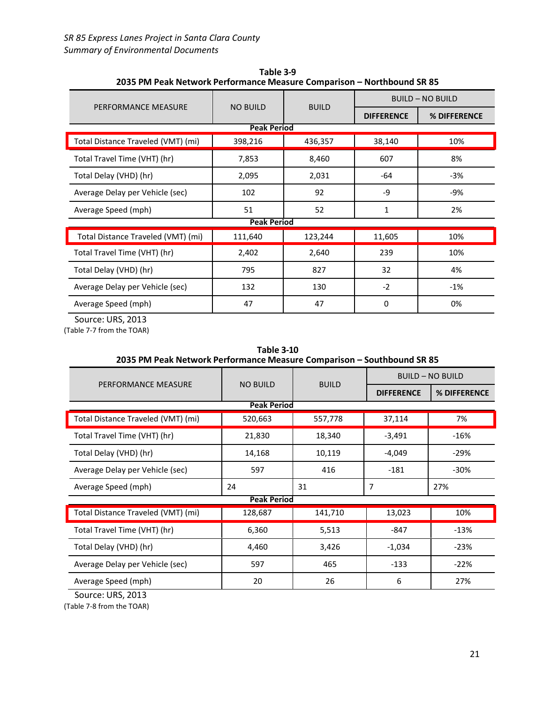| PERFORMANCE MEASURE                | <b>NO BUILD</b>    | <b>BUILD</b> | <b>BUILD - NO BUILD</b> |              |  |
|------------------------------------|--------------------|--------------|-------------------------|--------------|--|
|                                    |                    |              | <b>DIFFERENCE</b>       | % DIFFERENCE |  |
|                                    | <b>Peak Period</b> |              |                         |              |  |
| Total Distance Traveled (VMT) (mi) | 398,216            | 436,357      | 38,140                  | 10%          |  |
| Total Travel Time (VHT) (hr)       | 7,853              | 8,460        | 607                     | 8%           |  |
| Total Delay (VHD) (hr)             | 2,095              | 2,031        | -64                     | $-3%$        |  |
| Average Delay per Vehicle (sec)    | 102                | 92           | -9                      | -9%          |  |
| Average Speed (mph)                | 51                 | 52           | $\mathbf{1}$            | 2%           |  |
| <b>Peak Period</b>                 |                    |              |                         |              |  |
| Total Distance Traveled (VMT) (mi) | 111,640            | 123,244      | 11,605                  | 10%          |  |
| Total Travel Time (VHT) (hr)       | 2,402              | 2,640        | 239                     | 10%          |  |
| Total Delay (VHD) (hr)             | 795                | 827          | 32                      | 4%           |  |
| Average Delay per Vehicle (sec)    | 132                | 130          | $-2$                    | $-1%$        |  |
| Average Speed (mph)                | 47                 | 47           | 0                       | 0%           |  |

**Table 3-9 2035 PM Peak Network Performance Measure Comparison – Northbound SR 85**

Source: URS, 2013

(Table 7-7 from the TOAR)

| 2035 PM Peak Network Performance Measure Comparison – Southbound SR 85 |                    |              |                         |              |
|------------------------------------------------------------------------|--------------------|--------------|-------------------------|--------------|
| PERFORMANCE MEASURE                                                    | <b>NO BUILD</b>    | <b>BUILD</b> | <b>BUILD - NO BUILD</b> |              |
|                                                                        |                    |              | <b>DIFFERENCE</b>       | % DIFFERENCE |
|                                                                        | <b>Peak Period</b> |              |                         |              |
| Total Distance Traveled (VMT) (mi)                                     | 520,663            | 557,778      | 37,114                  | 7%           |
| Total Travel Time (VHT) (hr)                                           | 21,830             | 18,340       | $-3,491$                | $-16%$       |
| Total Delay (VHD) (hr)                                                 | 14,168             | 10,119       | $-4,049$                | $-29%$       |
| Average Delay per Vehicle (sec)                                        | 597                | 416          | $-181$                  | $-30\%$      |
| Average Speed (mph)                                                    | 24                 | 31           | 7                       | 27%          |
|                                                                        | <b>Peak Period</b> |              |                         |              |
| Total Distance Traveled (VMT) (mi)                                     | 128,687            | 141,710      | 13,023                  | 10%          |
| Total Travel Time (VHT) (hr)                                           | 6,360              | 5,513        | $-847$                  | $-13%$       |
| Total Delay (VHD) (hr)                                                 | 4,460              | 3,426        | $-1,034$                | $-23%$       |
| Average Delay per Vehicle (sec)                                        | 597                | 465          | $-133$                  | $-22%$       |
| Average Speed (mph)                                                    | 20                 | 26           | 6                       | 27%          |

**Table 3-10 2035 PM Peak Network Performance Measure Comparison – Southbound SR 85**

Source: URS, 2013

(Table 7-8 from the TOAR)